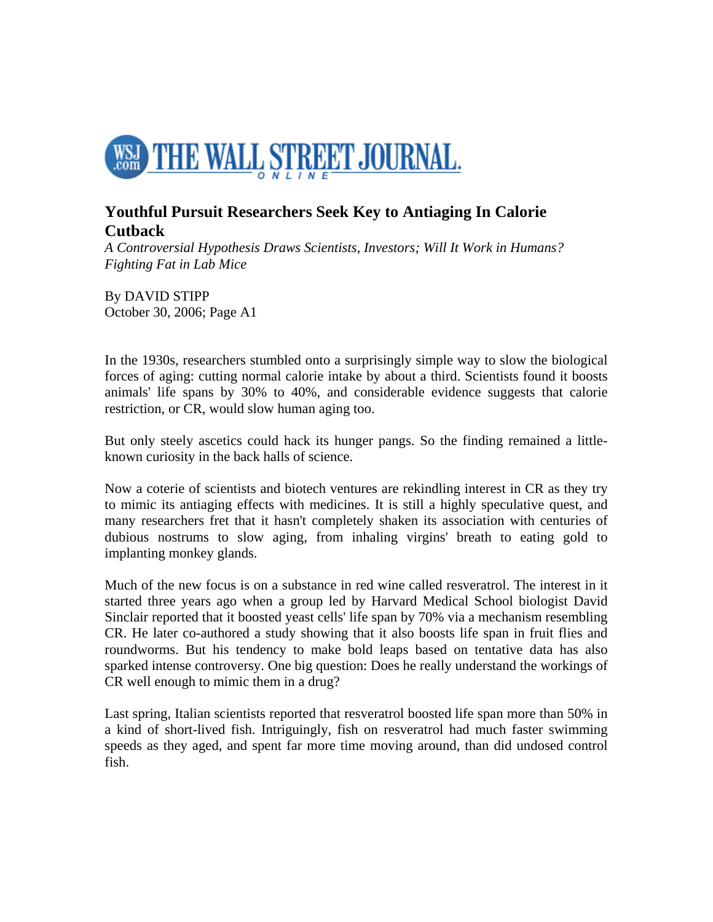

## **Youthful Pursuit Researchers Seek Key to Antiaging In Calorie Cutback**

*A Controversial Hypothesis Draws Scientists, Investors; Will It Work in Humans? Fighting Fat in Lab Mice* 

By DAVID STIPP October 30, 2006; Page A1

In the 1930s, researchers stumbled onto a surprisingly simple way to slow the biological forces of aging: cutting normal calorie intake by about a third. Scientists found it boosts animals' life spans by 30% to 40%, and considerable evidence suggests that calorie restriction, or CR, would slow human aging too.

But only steely ascetics could hack its hunger pangs. So the finding remained a littleknown curiosity in the back halls of science.

Now a coterie of scientists and biotech ventures are rekindling interest in CR as they try to mimic its antiaging effects with medicines. It is still a highly speculative quest, and many researchers fret that it hasn't completely shaken its association with centuries of dubious nostrums to slow aging, from inhaling virgins' breath to eating gold to implanting monkey glands.

Much of the new focus is on a substance in red wine called resveratrol. The interest in it started three years ago when a group led by Harvard Medical School biologist David Sinclair reported that it boosted yeast cells' life span by 70% via a mechanism resembling CR. He later co-authored a study showing that it also boosts life span in fruit flies and roundworms. But his tendency to make bold leaps based on tentative data has also sparked intense controversy. One big question: Does he really understand the workings of CR well enough to mimic them in a drug?

Last spring, Italian scientists reported that resveratrol boosted life span more than 50% in a kind of short-lived fish. Intriguingly, fish on resveratrol had much faster swimming speeds as they aged, and spent far more time moving around, than did undosed control fish.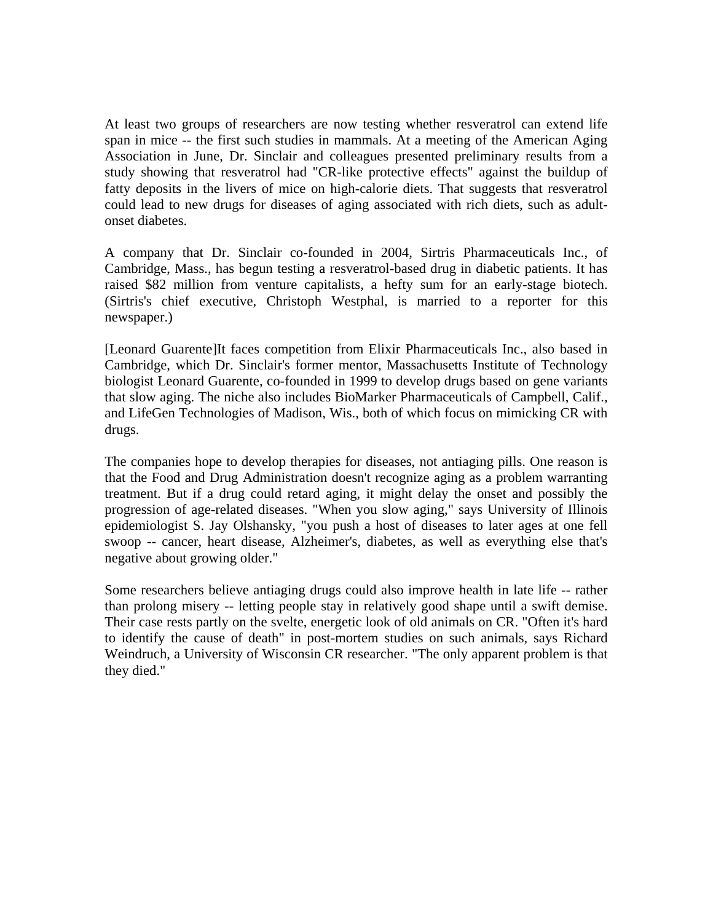At least two groups of researchers are now testing whether resveratrol can extend life span in mice -- the first such studies in mammals. At a meeting of the American Aging Association in June, Dr. Sinclair and colleagues presented preliminary results from a study showing that resveratrol had "CR-like protective effects" against the buildup of fatty deposits in the livers of mice on high-calorie diets. That suggests that resveratrol could lead to new drugs for diseases of aging associated with rich diets, such as adultonset diabetes.

A company that Dr. Sinclair co-founded in 2004, Sirtris Pharmaceuticals Inc., of Cambridge, Mass., has begun testing a resveratrol-based drug in diabetic patients. It has raised \$82 million from venture capitalists, a hefty sum for an early-stage biotech. (Sirtris's chief executive, Christoph Westphal, is married to a reporter for this newspaper.)

[Leonard Guarente]It faces competition from Elixir Pharmaceuticals Inc., also based in Cambridge, which Dr. Sinclair's former mentor, Massachusetts Institute of Technology biologist Leonard Guarente, co-founded in 1999 to develop drugs based on gene variants that slow aging. The niche also includes BioMarker Pharmaceuticals of Campbell, Calif., and LifeGen Technologies of Madison, Wis., both of which focus on mimicking CR with drugs.

The companies hope to develop therapies for diseases, not antiaging pills. One reason is that the Food and Drug Administration doesn't recognize aging as a problem warranting treatment. But if a drug could retard aging, it might delay the onset and possibly the progression of age-related diseases. "When you slow aging," says University of Illinois epidemiologist S. Jay Olshansky, "you push a host of diseases to later ages at one fell swoop -- cancer, heart disease, Alzheimer's, diabetes, as well as everything else that's negative about growing older."

Some researchers believe antiaging drugs could also improve health in late life -- rather than prolong misery -- letting people stay in relatively good shape until a swift demise. Their case rests partly on the svelte, energetic look of old animals on CR. "Often it's hard to identify the cause of death" in post-mortem studies on such animals, says Richard Weindruch, a University of Wisconsin CR researcher. "The only apparent problem is that they died."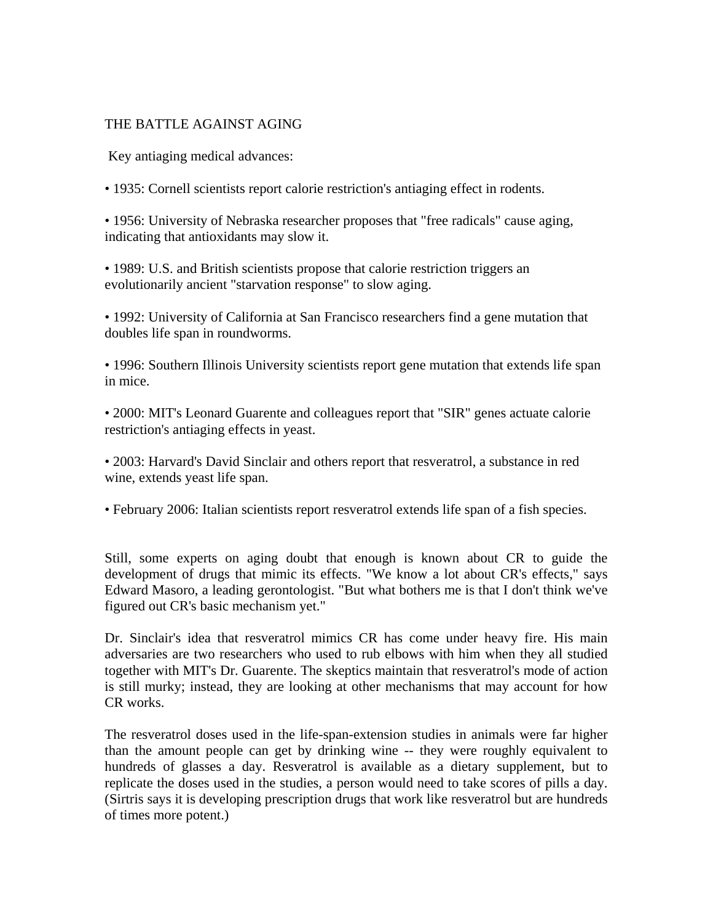## THE BATTLE AGAINST AGING

Key antiaging medical advances:

• 1935: Cornell scientists report calorie restriction's antiaging effect in rodents.

• 1956: University of Nebraska researcher proposes that "free radicals" cause aging, indicating that antioxidants may slow it.

• 1989: U.S. and British scientists propose that calorie restriction triggers an evolutionarily ancient "starvation response" to slow aging.

• 1992: University of California at San Francisco researchers find a gene mutation that doubles life span in roundworms.

• 1996: Southern Illinois University scientists report gene mutation that extends life span in mice.

• 2000: MIT's Leonard Guarente and colleagues report that "SIR" genes actuate calorie restriction's antiaging effects in yeast.

• 2003: Harvard's David Sinclair and others report that resveratrol, a substance in red wine, extends yeast life span.

• February 2006: Italian scientists report resveratrol extends life span of a fish species.

Still, some experts on aging doubt that enough is known about CR to guide the development of drugs that mimic its effects. "We know a lot about CR's effects," says Edward Masoro, a leading gerontologist. "But what bothers me is that I don't think we've figured out CR's basic mechanism yet."

Dr. Sinclair's idea that resveratrol mimics CR has come under heavy fire. His main adversaries are two researchers who used to rub elbows with him when they all studied together with MIT's Dr. Guarente. The skeptics maintain that resveratrol's mode of action is still murky; instead, they are looking at other mechanisms that may account for how CR works.

The resveratrol doses used in the life-span-extension studies in animals were far higher than the amount people can get by drinking wine -- they were roughly equivalent to hundreds of glasses a day. Resveratrol is available as a dietary supplement, but to replicate the doses used in the studies, a person would need to take scores of pills a day. (Sirtris says it is developing prescription drugs that work like resveratrol but are hundreds of times more potent.)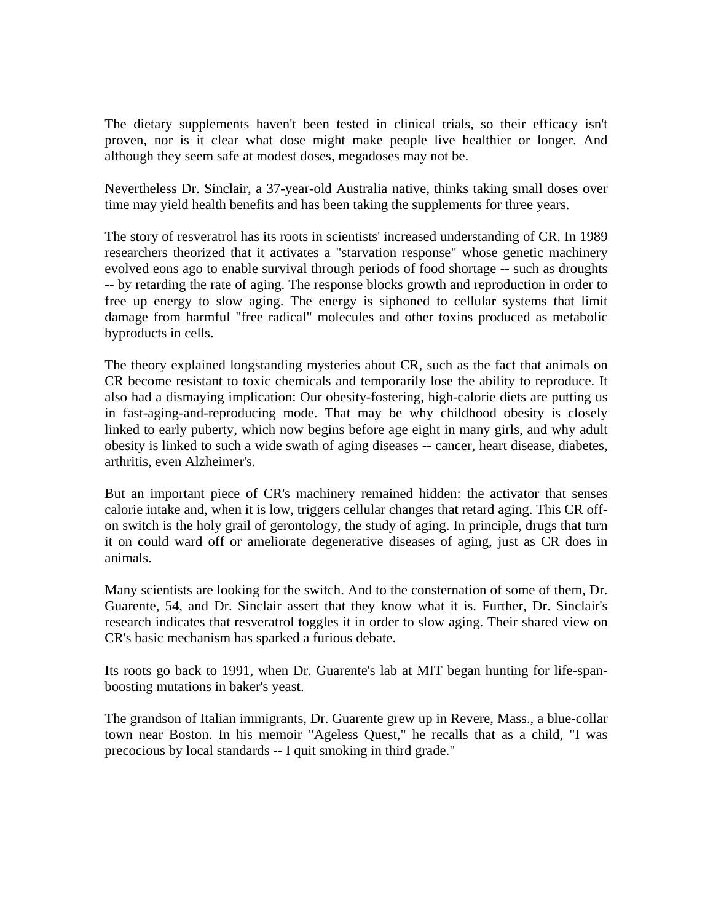The dietary supplements haven't been tested in clinical trials, so their efficacy isn't proven, nor is it clear what dose might make people live healthier or longer. And although they seem safe at modest doses, megadoses may not be.

Nevertheless Dr. Sinclair, a 37-year-old Australia native, thinks taking small doses over time may yield health benefits and has been taking the supplements for three years.

The story of resveratrol has its roots in scientists' increased understanding of CR. In 1989 researchers theorized that it activates a "starvation response" whose genetic machinery evolved eons ago to enable survival through periods of food shortage -- such as droughts -- by retarding the rate of aging. The response blocks growth and reproduction in order to free up energy to slow aging. The energy is siphoned to cellular systems that limit damage from harmful "free radical" molecules and other toxins produced as metabolic byproducts in cells.

The theory explained longstanding mysteries about CR, such as the fact that animals on CR become resistant to toxic chemicals and temporarily lose the ability to reproduce. It also had a dismaying implication: Our obesity-fostering, high-calorie diets are putting us in fast-aging-and-reproducing mode. That may be why childhood obesity is closely linked to early puberty, which now begins before age eight in many girls, and why adult obesity is linked to such a wide swath of aging diseases -- cancer, heart disease, diabetes, arthritis, even Alzheimer's.

But an important piece of CR's machinery remained hidden: the activator that senses calorie intake and, when it is low, triggers cellular changes that retard aging. This CR offon switch is the holy grail of gerontology, the study of aging. In principle, drugs that turn it on could ward off or ameliorate degenerative diseases of aging, just as CR does in animals.

Many scientists are looking for the switch. And to the consternation of some of them, Dr. Guarente, 54, and Dr. Sinclair assert that they know what it is. Further, Dr. Sinclair's research indicates that resveratrol toggles it in order to slow aging. Their shared view on CR's basic mechanism has sparked a furious debate.

Its roots go back to 1991, when Dr. Guarente's lab at MIT began hunting for life-spanboosting mutations in baker's yeast.

The grandson of Italian immigrants, Dr. Guarente grew up in Revere, Mass., a blue-collar town near Boston. In his memoir "Ageless Quest," he recalls that as a child, "I was precocious by local standards -- I quit smoking in third grade."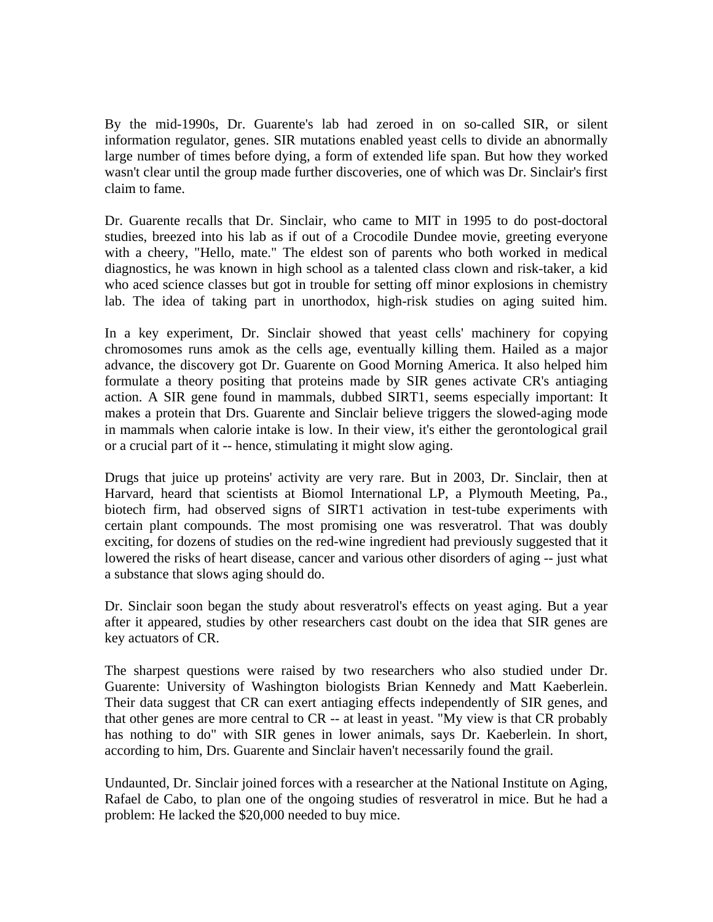By the mid-1990s, Dr. Guarente's lab had zeroed in on so-called SIR, or silent information regulator, genes. SIR mutations enabled yeast cells to divide an abnormally large number of times before dying, a form of extended life span. But how they worked wasn't clear until the group made further discoveries, one of which was Dr. Sinclair's first claim to fame.

Dr. Guarente recalls that Dr. Sinclair, who came to MIT in 1995 to do post-doctoral studies, breezed into his lab as if out of a Crocodile Dundee movie, greeting everyone with a cheery, "Hello, mate." The eldest son of parents who both worked in medical diagnostics, he was known in high school as a talented class clown and risk-taker, a kid who aced science classes but got in trouble for setting off minor explosions in chemistry lab. The idea of taking part in unorthodox, high-risk studies on aging suited him.

In a key experiment, Dr. Sinclair showed that yeast cells' machinery for copying chromosomes runs amok as the cells age, eventually killing them. Hailed as a major advance, the discovery got Dr. Guarente on Good Morning America. It also helped him formulate a theory positing that proteins made by SIR genes activate CR's antiaging action. A SIR gene found in mammals, dubbed SIRT1, seems especially important: It makes a protein that Drs. Guarente and Sinclair believe triggers the slowed-aging mode in mammals when calorie intake is low. In their view, it's either the gerontological grail or a crucial part of it -- hence, stimulating it might slow aging.

Drugs that juice up proteins' activity are very rare. But in 2003, Dr. Sinclair, then at Harvard, heard that scientists at Biomol International LP, a Plymouth Meeting, Pa., biotech firm, had observed signs of SIRT1 activation in test-tube experiments with certain plant compounds. The most promising one was resveratrol. That was doubly exciting, for dozens of studies on the red-wine ingredient had previously suggested that it lowered the risks of heart disease, cancer and various other disorders of aging -- just what a substance that slows aging should do.

Dr. Sinclair soon began the study about resveratrol's effects on yeast aging. But a year after it appeared, studies by other researchers cast doubt on the idea that SIR genes are key actuators of CR.

The sharpest questions were raised by two researchers who also studied under Dr. Guarente: University of Washington biologists Brian Kennedy and Matt Kaeberlein. Their data suggest that CR can exert antiaging effects independently of SIR genes, and that other genes are more central to CR -- at least in yeast. "My view is that CR probably has nothing to do" with SIR genes in lower animals, says Dr. Kaeberlein. In short, according to him, Drs. Guarente and Sinclair haven't necessarily found the grail.

Undaunted, Dr. Sinclair joined forces with a researcher at the National Institute on Aging, Rafael de Cabo, to plan one of the ongoing studies of resveratrol in mice. But he had a problem: He lacked the \$20,000 needed to buy mice.